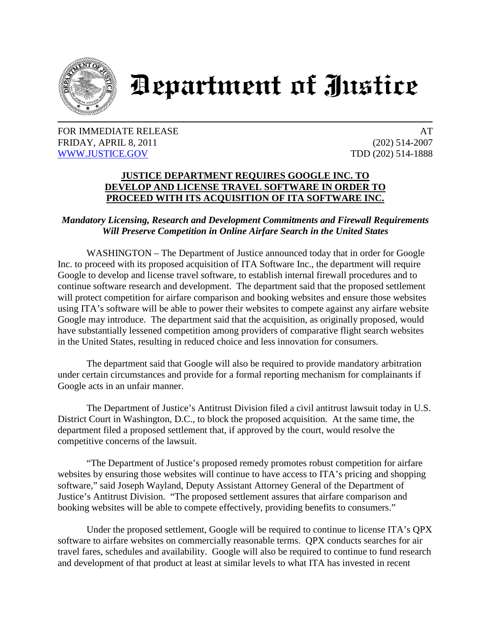

## Department of Justice

## FOR IMMEDIATE RELEASE AT A SERIES AT A SERIES AT A SERIES AT A SERIES AT A SERIES AT A SERIES AT A SERIES AND A SERIES AT A SERIES AND A SERIES AT A SERIES AT A SERIES AND A SERIES AND A SERIES AND A SERIES AND A SERIES AN FRIDAY, APRIL 8, 2011 (202) 514-2007 [WWW.JUSTICE.GOV](http://www.justice.gov/) TDD (202) 514-1888

## **JUSTICE DEPARTMENT REQUIRES GOOGLE INC. TO DEVELOP AND LICENSE TRAVEL SOFTWARE IN ORDER TO PROCEED WITH ITS ACQUISITION OF ITA SOFTWARE INC.**

## *Mandatory Licensing, Research and Development Commitments and Firewall Requirements Will Preserve Competition in Online Airfare Search in the United States*

WASHINGTON – The Department of Justice announced today that in order for Google Inc. to proceed with its proposed acquisition of ITA Software Inc., the department will require Google to develop and license travel software, to establish internal firewall procedures and to continue software research and development. The department said that the proposed settlement will protect competition for airfare comparison and booking websites and ensure those websites using ITA's software will be able to power their websites to compete against any airfare website Google may introduce. The department said that the acquisition, as originally proposed, would have substantially lessened competition among providers of comparative flight search websites in the United States, resulting in reduced choice and less innovation for consumers.

The department said that Google will also be required to provide mandatory arbitration under certain circumstances and provide for a formal reporting mechanism for complainants if Google acts in an unfair manner.

The Department of Justice's Antitrust Division filed a civil antitrust lawsuit today in U.S. District Court in Washington, D.C., to block the proposed acquisition. At the same time, the department filed a proposed settlement that, if approved by the court, would resolve the competitive concerns of the lawsuit.

"The Department of Justice's proposed remedy promotes robust competition for airfare websites by ensuring those websites will continue to have access to ITA's pricing and shopping software," said Joseph Wayland, Deputy Assistant Attorney General of the Department of Justice's Antitrust Division. "The proposed settlement assures that airfare comparison and booking websites will be able to compete effectively, providing benefits to consumers."

Under the proposed settlement, Google will be required to continue to license ITA's QPX software to airfare websites on commercially reasonable terms. QPX conducts searches for air travel fares, schedules and availability. Google will also be required to continue to fund research and development of that product at least at similar levels to what ITA has invested in recent